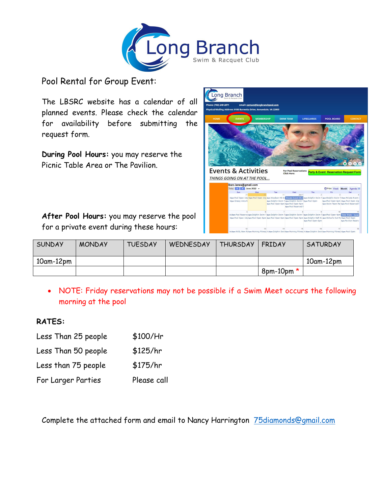

Pool Rental for Group Event:

The LBSRC website has a calendar of all planned events. Please check the calendar for availability before submitting the request form.

**During Pool Hours:** you may reserve the Picnic Table Area or The Pavilion.



**After Pool Hours:** you may reserve the pool for a private event during these hours:

| <b>SUNDAY</b> | <b>MONDAY</b> | <b>TUESDAY</b> | WEDNESDAY | <b>THURSDAY</b> | <b>FRIDAY</b>   | <b>SATURDAY</b>  |
|---------------|---------------|----------------|-----------|-----------------|-----------------|------------------|
| $10am-12pm$   |               |                |           |                 |                 | $10$ am- $12$ pm |
|               |               |                |           |                 | $8$ pm-10pm $*$ |                  |

• NOTE: Friday reservations may not be possible if a Swim Meet occurs the following morning at the pool

## **RATES:**

| Less Than 25 people | $$100/$ Hr  |
|---------------------|-------------|
| Less Than 50 people | \$125/hr    |
| Less than 75 people | \$175/hr    |
| For Larger Parties  | Please call |

Complete the attached form and email to Nancy Harrington [75diamonds@gmail.com](mailto:75diamonds@gmail.com)